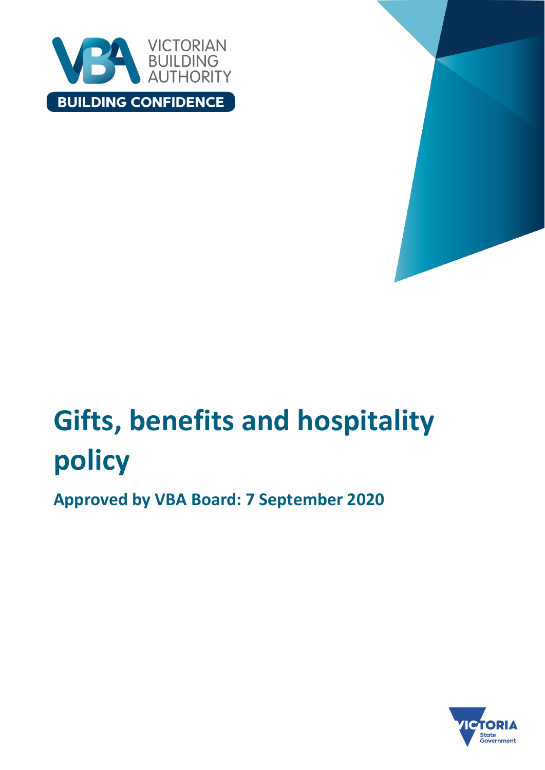



# **Gifts, benefits and hospitality policy**

**Approved by VBA Board: 7 September 2020** 

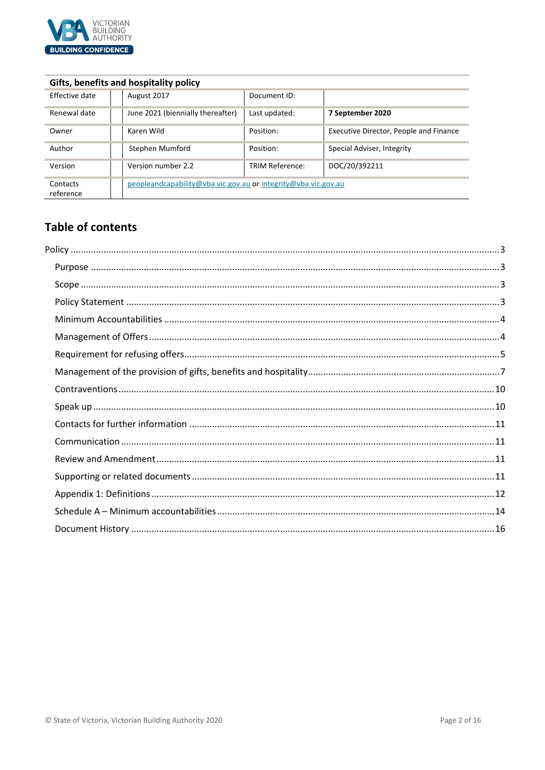

# **Gifts, benefits and hospitality policy**

| Effective date        | August 2017                                                    | Document ID:           |                                        |
|-----------------------|----------------------------------------------------------------|------------------------|----------------------------------------|
| Renewal date          | June 2021 (biennially thereafter)                              | Last updated:          | 7 September 2020                       |
| Owner                 | Karen Wild                                                     | Position:              | Executive Director, People and Finance |
| Author                | Stephen Mumford                                                | Position:              | Special Adviser, Integrity             |
| Version               | Version number 2.2                                             | <b>TRIM Reference:</b> | DOC/20/392211                          |
| Contacts<br>reference | peopleandcapability@vba.vic.gov.au or integrity@vba.vic.gov.au |                        |                                        |

# **Table of contents**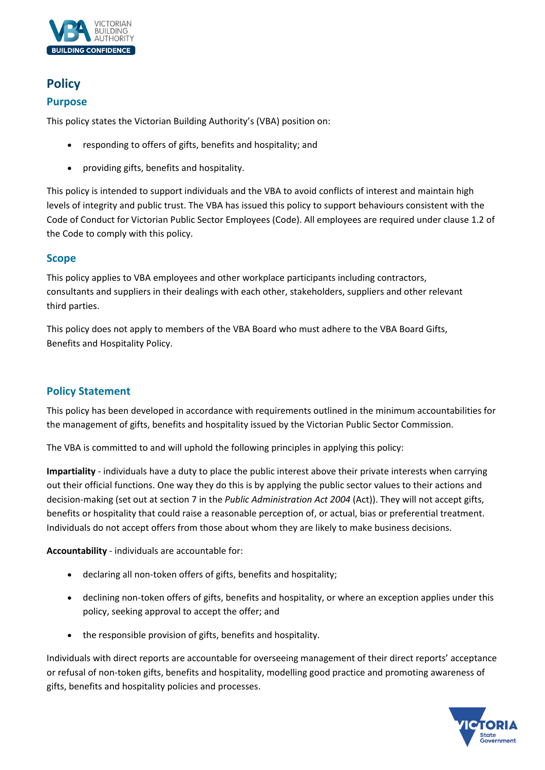

# <span id="page-2-0"></span>**Policy**

# <span id="page-2-1"></span>**Purpose**

This policy states the Victorian Building Authority's (VBA) position on:

- responding to offers of gifts, benefits and hospitality; and
- providing gifts, benefits and hospitality.

This policy is intended to support individuals and the VBA to avoid conflicts of interest and maintain high levels of integrity and public trust. The VBA has issued this policy to support behaviours consistent with the Code of Conduct for Victorian Public Sector Employees (Code). All employees are required under clause 1.2 of the Code to comply with this policy.

# <span id="page-2-2"></span>**Scope**

This policy applies to VBA employees and other workplace participants including contractors, consultants and suppliers in their dealings with each other, stakeholders, suppliers and other relevant third parties.

This policy does not apply to members of the VBA Board who must adhere to the VBA Board Gifts, Benefits and Hospitality Policy.

# <span id="page-2-3"></span>**Policy Statement**

This policy has been developed in accordance with requirements outlined in the minimum accountabilities for the management of gifts, benefits and hospitality issued by the Victorian Public Sector Commission.

The VBA is committed to and will uphold the following principles in applying this policy:

**Impartiality** ‐ individuals have a duty to place the public interest above their private interests when carrying out their official functions. One way they do this is by applying the public sector values to their actions and decision-making (set out at section 7 in the *Public Administration Act 2004* (Act)). They will not accept gifts, benefits or hospitality that could raise a reasonable perception of, or actual, bias or preferential treatment. Individuals do not accept offers from those about whom they are likely to make business decisions.

**Accountability** ‐ individuals are accountable for:

- declaring all non‐token offers of gifts, benefits and hospitality;
- declining non-token offers of gifts, benefits and hospitality, or where an exception applies under this policy, seeking approval to accept the offer; and
- the responsible provision of gifts, benefits and hospitality.

Individuals with direct reports are accountable for overseeing management of their direct reports' acceptance or refusal of non‐token gifts, benefits and hospitality, modelling good practice and promoting awareness of gifts, benefits and hospitality policies and processes.

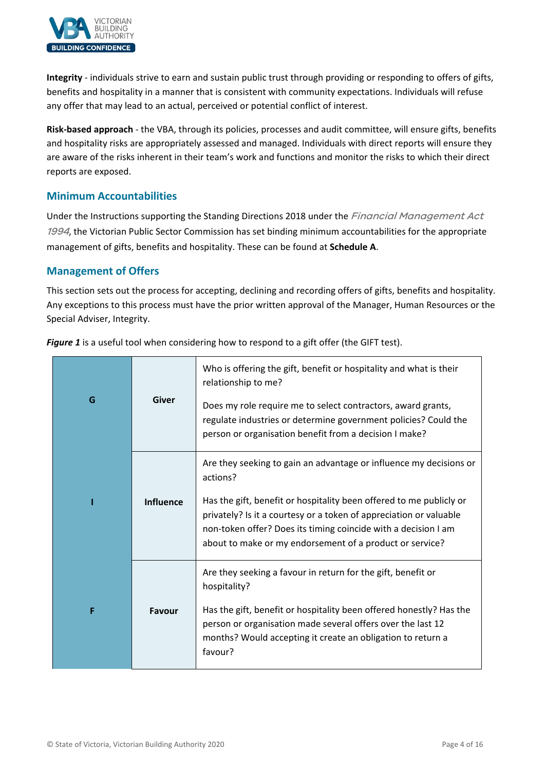

**Integrity** - individuals strive to earn and sustain public trust through providing or responding to offers of gifts, benefits and hospitality in a manner that is consistent with community expectations. Individuals will refuse any offer that may lead to an actual, perceived or potential conflict of interest.

**Risk‐based approach** - the VBA, through its policies, processes and audit committee, will ensure gifts, benefits and hospitality risks are appropriately assessed and managed. Individuals with direct reports will ensure they are aware of the risks inherent in their team's work and functions and monitor the risks to which their direct reports are exposed.

# <span id="page-3-0"></span>**Minimum Accountabilities**

Under the Instructions supporting the Standing Directions 2018 under the Financial Management Act 1994, the Victorian Public Sector Commission has set binding minimum accountabilities for the appropriate management of gifts, benefits and hospitality. These can be found at **Schedule A**.

# <span id="page-3-1"></span>**Management of Offers**

This section sets out the process for accepting, declining and recording offers of gifts, benefits and hospitality. Any exceptions to this process must have the prior written approval of the Manager, Human Resources or the Special Adviser, Integrity.

| G | <b>Giver</b>     | Who is offering the gift, benefit or hospitality and what is their<br>relationship to me?<br>Does my role require me to select contractors, award grants,<br>regulate industries or determine government policies? Could the<br>person or organisation benefit from a decision I make?                                                                    |
|---|------------------|-----------------------------------------------------------------------------------------------------------------------------------------------------------------------------------------------------------------------------------------------------------------------------------------------------------------------------------------------------------|
|   | <b>Influence</b> | Are they seeking to gain an advantage or influence my decisions or<br>actions?<br>Has the gift, benefit or hospitality been offered to me publicly or<br>privately? Is it a courtesy or a token of appreciation or valuable<br>non-token offer? Does its timing coincide with a decision I am<br>about to make or my endorsement of a product or service? |
| F | Favour           | Are they seeking a favour in return for the gift, benefit or<br>hospitality?<br>Has the gift, benefit or hospitality been offered honestly? Has the<br>person or organisation made several offers over the last 12<br>months? Would accepting it create an obligation to return a<br>favour?                                                              |

*Figure 1* is a useful tool when considering how to respond to a gift offer (the GIFT test).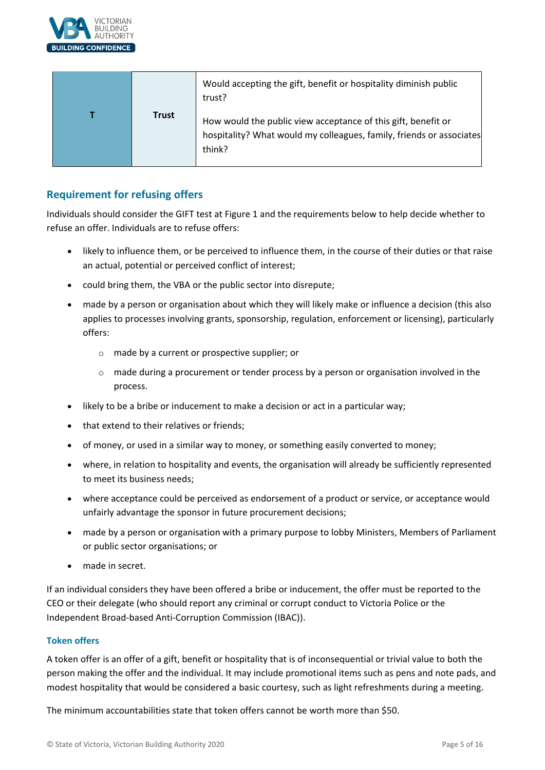

|              | Would accepting the gift, benefit or hospitality diminish public<br>trust?                                                                      |
|--------------|-------------------------------------------------------------------------------------------------------------------------------------------------|
| <b>Trust</b> | How would the public view acceptance of this gift, benefit or<br>hospitality? What would my colleagues, family, friends or associates<br>think? |

# <span id="page-4-0"></span>**Requirement for refusing offers**

Individuals should consider the GIFT test at Figure 1 and the requirements below to help decide whether to refuse an offer. Individuals are to refuse offers:

- likely to influence them, or be perceived to influence them, in the course of their duties or that raise an actual, potential or perceived conflict of interest;
- could bring them, the VBA or the public sector into disrepute;
- made by a person or organisation about which they will likely make or influence a decision (this also applies to processes involving grants, sponsorship, regulation, enforcement or licensing), particularly offers:
	- o made by a current or prospective supplier; or
	- $\circ$  made during a procurement or tender process by a person or organisation involved in the process.
- likely to be a bribe or inducement to make a decision or act in a particular way;
- that extend to their relatives or friends;
- of money, or used in a similar way to money, or something easily converted to money;
- where, in relation to hospitality and events, the organisation will already be sufficiently represented to meet its business needs;
- where acceptance could be perceived as endorsement of a product or service, or acceptance would unfairly advantage the sponsor in future procurement decisions;
- made by a person or organisation with a primary purpose to lobby Ministers, Members of Parliament or public sector organisations; or
- made in secret.

If an individual considers they have been offered a bribe or inducement, the offer must be reported to the CEO or their delegate (who should report any criminal or corrupt conduct to Victoria Police or the Independent Broad‐based Anti‐Corruption Commission (IBAC)).

#### **Token offers**

A token offer is an offer of a gift, benefit or hospitality that is of inconsequential or trivial value to both the person making the offer and the individual. It may include promotional items such as pens and note pads, and modest hospitality that would be considered a basic courtesy, such as light refreshments during a meeting.

The minimum accountabilities state that token offers cannot be worth more than \$50.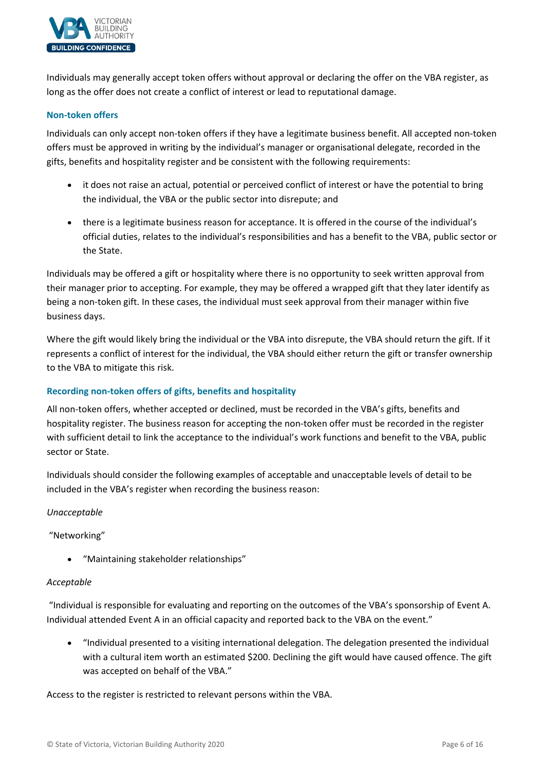

Individuals may generally accept token offers without approval or declaring the offer on the VBA register, as long as the offer does not create a conflict of interest or lead to reputational damage.

#### **Non-token offers**

Individuals can only accept non‐token offers if they have a legitimate business benefit. All accepted non‐token offers must be approved in writing by the individual's manager or organisational delegate, recorded in the gifts, benefits and hospitality register and be consistent with the following requirements:

- it does not raise an actual, potential or perceived conflict of interest or have the potential to bring the individual, the VBA or the public sector into disrepute; and
- there is a legitimate business reason for acceptance. It is offered in the course of the individual's official duties, relates to the individual's responsibilities and has a benefit to the VBA, public sector or the State.

Individuals may be offered a gift or hospitality where there is no opportunity to seek written approval from their manager prior to accepting. For example, they may be offered a wrapped gift that they later identify as being a non-token gift. In these cases, the individual must seek approval from their manager within five business days.

Where the gift would likely bring the individual or the VBA into disrepute, the VBA should return the gift. If it represents a conflict of interest for the individual, the VBA should either return the gift or transfer ownership to the VBA to mitigate this risk.

#### **Recording non-token offers of gifts, benefits and hospitality**

All non-token offers, whether accepted or declined, must be recorded in the VBA's gifts, benefits and hospitality register. The business reason for accepting the non-token offer must be recorded in the register with sufficient detail to link the acceptance to the individual's work functions and benefit to the VBA, public sector or State.

Individuals should consider the following examples of acceptable and unacceptable levels of detail to be included in the VBA's register when recording the business reason:

*Unacceptable*

"Networking"

• "Maintaining stakeholder relationships"

#### *Acceptable*

"Individual is responsible for evaluating and reporting on the outcomes of the VBA's sponsorship of Event A. Individual attended Event A in an official capacity and reported back to the VBA on the event."

• "Individual presented to a visiting international delegation. The delegation presented the individual with a cultural item worth an estimated \$200. Declining the gift would have caused offence. The gift was accepted on behalf of the VBA."

Access to the register is restricted to relevant persons within the VBA.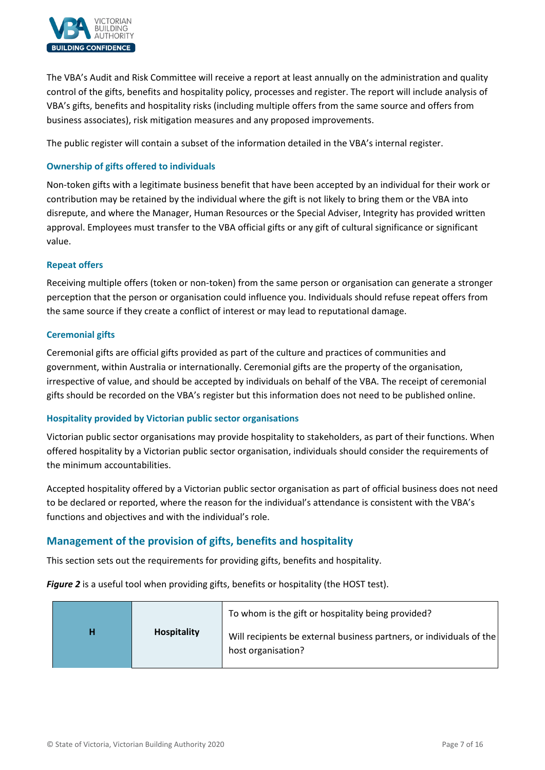

The VBA's Audit and Risk Committee will receive a report at least annually on the administration and quality control of the gifts, benefits and hospitality policy, processes and register. The report will include analysis of VBA's gifts, benefits and hospitality risks (including multiple offers from the same source and offers from business associates), risk mitigation measures and any proposed improvements.

The public register will contain a subset of the information detailed in the VBA's internal register.

#### **Ownership of gifts offered to individuals**

Non‐token gifts with a legitimate business benefit that have been accepted by an individual for their work or contribution may be retained by the individual where the gift is not likely to bring them or the VBA into disrepute, and where the Manager, Human Resources or the Special Adviser, Integrity has provided written approval. Employees must transfer to the VBA official gifts or any gift of cultural significance or significant value.

#### **Repeat offers**

Receiving multiple offers (token or non-token) from the same person or organisation can generate a stronger perception that the person or organisation could influence you. Individuals should refuse repeat offers from the same source if they create a conflict of interest or may lead to reputational damage.

#### **Ceremonial gifts**

Ceremonial gifts are official gifts provided as part of the culture and practices of communities and government, within Australia or internationally. Ceremonial gifts are the property of the organisation, irrespective of value, and should be accepted by individuals on behalf of the VBA. The receipt of ceremonial gifts should be recorded on the VBA's register but this information does not need to be published online.

#### **Hospitality provided by Victorian public sector organisations**

Victorian public sector organisations may provide hospitality to stakeholders, as part of their functions. When offered hospitality by a Victorian public sector organisation, individuals should consider the requirements of the minimum accountabilities.

Accepted hospitality offered by a Victorian public sector organisation as part of official business does not need to be declared or reported, where the reason for the individual's attendance is consistent with the VBA's functions and objectives and with the individual's role.

# <span id="page-6-0"></span>**Management of the provision of gifts, benefits and hospitality**

This section sets out the requirements for providing gifts, benefits and hospitality.

*Figure 2* is a useful tool when providing gifts, benefits or hospitality (the HOST test).

|   |                    | To whom is the gift or hospitality being provided?                                         |
|---|--------------------|--------------------------------------------------------------------------------------------|
| н | <b>Hospitality</b> | Will recipients be external business partners, or individuals of the<br>host organisation? |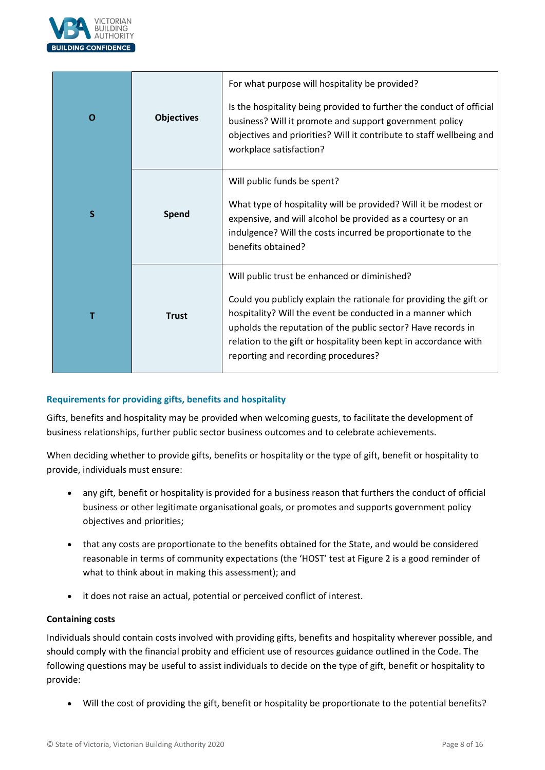

| O | <b>Objectives</b> | For what purpose will hospitality be provided?<br>Is the hospitality being provided to further the conduct of official<br>business? Will it promote and support government policy<br>objectives and priorities? Will it contribute to staff wellbeing and<br>workplace satisfaction?                                                                        |
|---|-------------------|-------------------------------------------------------------------------------------------------------------------------------------------------------------------------------------------------------------------------------------------------------------------------------------------------------------------------------------------------------------|
| S | Spend             | Will public funds be spent?<br>What type of hospitality will be provided? Will it be modest or<br>expensive, and will alcohol be provided as a courtesy or an<br>indulgence? Will the costs incurred be proportionate to the<br>benefits obtained?                                                                                                          |
| т | <b>Trust</b>      | Will public trust be enhanced or diminished?<br>Could you publicly explain the rationale for providing the gift or<br>hospitality? Will the event be conducted in a manner which<br>upholds the reputation of the public sector? Have records in<br>relation to the gift or hospitality been kept in accordance with<br>reporting and recording procedures? |

#### **Requirements for providing gifts, benefits and hospitality**

Gifts, benefits and hospitality may be provided when welcoming guests, to facilitate the development of business relationships, further public sector business outcomes and to celebrate achievements.

When deciding whether to provide gifts, benefits or hospitality or the type of gift, benefit or hospitality to provide, individuals must ensure:

- any gift, benefit or hospitality is provided for a business reason that furthers the conduct of official business or other legitimate organisational goals, or promotes and supports government policy objectives and priorities;
- that any costs are proportionate to the benefits obtained for the State, and would be considered reasonable in terms of community expectations (the 'HOST' test at Figure 2 is a good reminder of what to think about in making this assessment); and
- it does not raise an actual, potential or perceived conflict of interest.

#### **Containing costs**

Individuals should contain costs involved with providing gifts, benefits and hospitality wherever possible, and should comply with the financial probity and efficient use of resources guidance outlined in the Code. The following questions may be useful to assist individuals to decide on the type of gift, benefit or hospitality to provide:

• Will the cost of providing the gift, benefit or hospitality be proportionate to the potential benefits?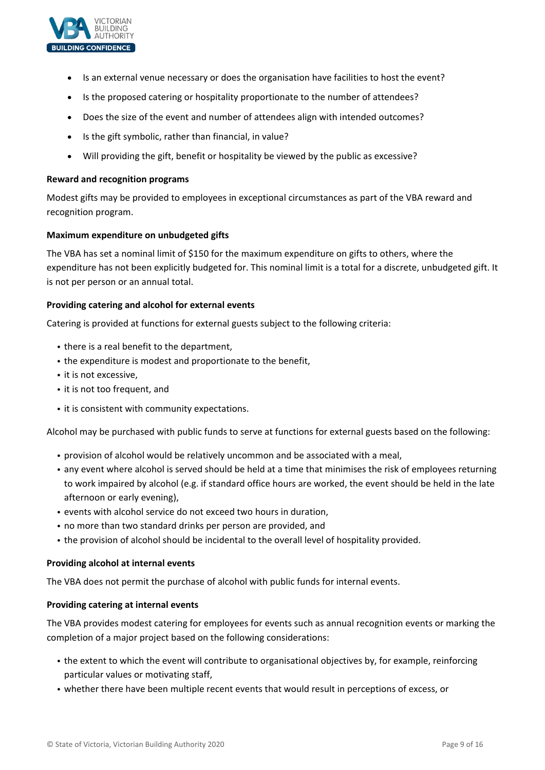

- Is an external venue necessary or does the organisation have facilities to host the event?
- Is the proposed catering or hospitality proportionate to the number of attendees?
- Does the size of the event and number of attendees align with intended outcomes?
- Is the gift symbolic, rather than financial, in value?
- Will providing the gift, benefit or hospitality be viewed by the public as excessive?

#### **Reward and recognition programs**

Modest gifts may be provided to employees in exceptional circumstances as part of the VBA reward and recognition program.

#### **Maximum expenditure on unbudgeted gifts**

The VBA has set a nominal limit of \$150 for the maximum expenditure on gifts to others, where the expenditure has not been explicitly budgeted for. This nominal limit is a total for a discrete, unbudgeted gift. It is not per person or an annual total.

#### **Providing catering and alcohol for external events**

Catering is provided at functions for external guests subject to the following criteria:

- there is a real benefit to the department,
- the expenditure is modest and proportionate to the benefit,
- it is not excessive,
- it is not too frequent, and
- it is consistent with community expectations.

Alcohol may be purchased with public funds to serve at functions for external guests based on the following:

- provision of alcohol would be relatively uncommon and be associated with a meal,
- any event where alcohol is served should be held at a time that minimises the risk of employees returning to work impaired by alcohol (e.g. if standard office hours are worked, the event should be held in the late afternoon or early evening),
- events with alcohol service do not exceed two hours in duration,
- no more than two standard drinks per person are provided, and
- the provision of alcohol should be incidental to the overall level of hospitality provided.

#### **Providing alcohol at internal events**

The VBA does not permit the purchase of alcohol with public funds for internal events.

#### **Providing catering at internal events**

The VBA provides modest catering for employees for events such as annual recognition events or marking the completion of a major project based on the following considerations:

- the extent to which the event will contribute to organisational objectives by, for example, reinforcing particular values or motivating staff,
- whether there have been multiple recent events that would result in perceptions of excess, or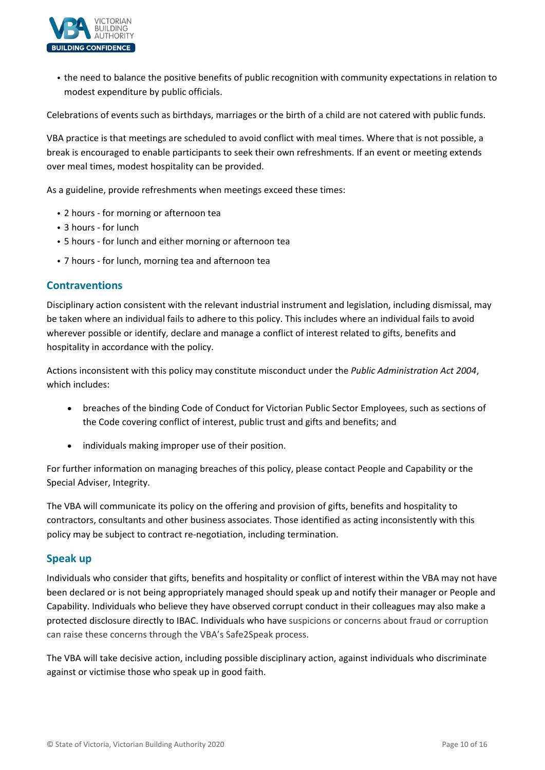

• the need to balance the positive benefits of public recognition with community expectations in relation to modest expenditure by public officials.

Celebrations of events such as birthdays, marriages or the birth of a child are not catered with public funds.

VBA practice is that meetings are scheduled to avoid conflict with meal times. Where that is not possible, a break is encouraged to enable participants to seek their own refreshments. If an event or meeting extends over meal times, modest hospitality can be provided.

As a guideline, provide refreshments when meetings exceed these times:

- 2 hours for morning or afternoon tea
- 3 hours ‐ for lunch
- 5 hours ‐ for lunch and either morning or afternoon tea
- 7 hours ‐ for lunch, morning tea and afternoon tea

#### <span id="page-9-0"></span>**Contraventions**

Disciplinary action consistent with the relevant industrial instrument and legislation, including dismissal, may be taken where an individual fails to adhere to this policy. This includes where an individual fails to avoid wherever possible or identify, declare and manage a conflict of interest related to gifts, benefits and hospitality in accordance with the policy.

Actions inconsistent with this policy may constitute misconduct under the *Public Administration Act 2004*, which includes:

- breaches of the binding Code of Conduct for Victorian Public Sector Employees, such as sections of the Code covering conflict of interest, public trust and gifts and benefits; and
- individuals making improper use of their position.

For further information on managing breaches of this policy, please contact People and Capability or the Special Adviser, Integrity.

The VBA will communicate its policy on the offering and provision of gifts, benefits and hospitality to contractors, consultants and other business associates. Those identified as acting inconsistently with this policy may be subject to contract re‐negotiation, including termination.

# <span id="page-9-1"></span>**Speak up**

Individuals who consider that gifts, benefits and hospitality or conflict of interest within the VBA may not have been declared or is not being appropriately managed should speak up and notify their manager or People and Capability. Individuals who believe they have observed corrupt conduct in their colleagues may also make a protected disclosure directly to IBAC. Individuals who have suspicions or concerns about fraud or corruption can raise these concerns through the VBA's Safe2Speak process.

The VBA will take decisive action, including possible disciplinary action, against individuals who discriminate against or victimise those who speak up in good faith.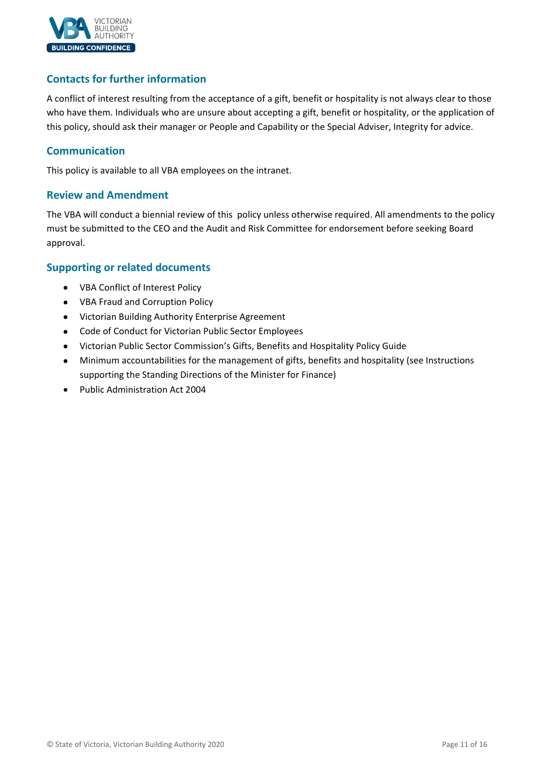

# <span id="page-10-0"></span>**Contacts for further information**

A conflict of interest resulting from the acceptance of a gift, benefit or hospitality is not always clear to those who have them. Individuals who are unsure about accepting a gift, benefit or hospitality, or the application of this policy, should ask their manager or People and Capability or the Special Adviser, Integrity for advice.

# <span id="page-10-1"></span>**Communication**

This policy is available to all VBA employees on the intranet.

# <span id="page-10-2"></span>**Review and Amendment**

The VBA will conduct a biennial review of this policy unless otherwise required. All amendments to the policy must be submitted to the CEO and the Audit and Risk Committee for endorsement before seeking Board approval.

# <span id="page-10-3"></span>**Supporting or related documents**

- VBA Conflict of Interest Policy
- VBA Fraud and Corruption Policy
- Victorian Building Authority Enterprise Agreement
- Code of Conduct for Victorian Public Sector Employees
- Victorian Public Sector Commission's Gifts, Benefits and Hospitality Policy Guide
- Minimum accountabilities for the management of gifts, benefits and hospitality (see Instructions supporting the Standing Directions of the Minister for Finance)
- Public Administration Act 2004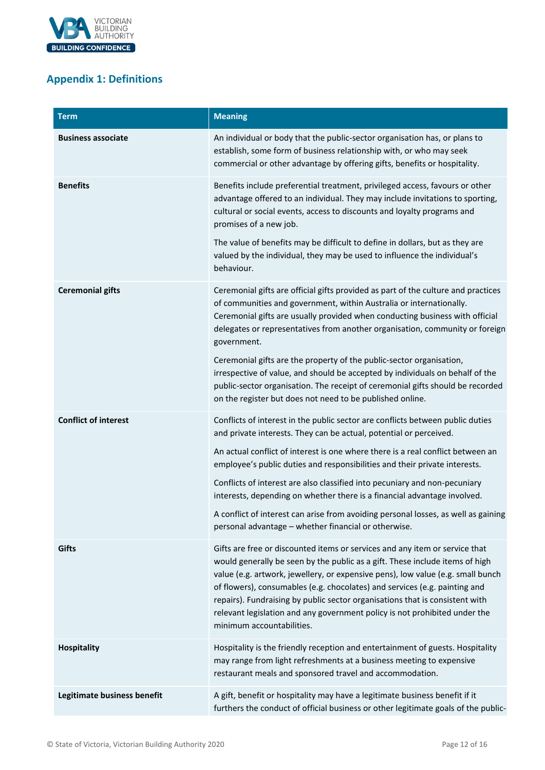

# <span id="page-11-0"></span>**Appendix 1: Definitions**

| <b>Term</b>                 | <b>Meaning</b>                                                                                                                                                                                                                                                                                                                                                                                                                                                                                                          |
|-----------------------------|-------------------------------------------------------------------------------------------------------------------------------------------------------------------------------------------------------------------------------------------------------------------------------------------------------------------------------------------------------------------------------------------------------------------------------------------------------------------------------------------------------------------------|
| <b>Business associate</b>   | An individual or body that the public-sector organisation has, or plans to<br>establish, some form of business relationship with, or who may seek<br>commercial or other advantage by offering gifts, benefits or hospitality.                                                                                                                                                                                                                                                                                          |
| <b>Benefits</b>             | Benefits include preferential treatment, privileged access, favours or other<br>advantage offered to an individual. They may include invitations to sporting,<br>cultural or social events, access to discounts and loyalty programs and<br>promises of a new job.                                                                                                                                                                                                                                                      |
|                             | The value of benefits may be difficult to define in dollars, but as they are<br>valued by the individual, they may be used to influence the individual's<br>behaviour.                                                                                                                                                                                                                                                                                                                                                  |
| <b>Ceremonial gifts</b>     | Ceremonial gifts are official gifts provided as part of the culture and practices<br>of communities and government, within Australia or internationally.<br>Ceremonial gifts are usually provided when conducting business with official<br>delegates or representatives from another organisation, community or foreign<br>government.                                                                                                                                                                                 |
|                             | Ceremonial gifts are the property of the public-sector organisation,<br>irrespective of value, and should be accepted by individuals on behalf of the<br>public-sector organisation. The receipt of ceremonial gifts should be recorded<br>on the register but does not need to be published online.                                                                                                                                                                                                                    |
| <b>Conflict of interest</b> | Conflicts of interest in the public sector are conflicts between public duties<br>and private interests. They can be actual, potential or perceived.                                                                                                                                                                                                                                                                                                                                                                    |
|                             | An actual conflict of interest is one where there is a real conflict between an<br>employee's public duties and responsibilities and their private interests.                                                                                                                                                                                                                                                                                                                                                           |
|                             | Conflicts of interest are also classified into pecuniary and non-pecuniary<br>interests, depending on whether there is a financial advantage involved.                                                                                                                                                                                                                                                                                                                                                                  |
|                             | A conflict of interest can arise from avoiding personal losses, as well as gaining<br>personal advantage - whether financial or otherwise.                                                                                                                                                                                                                                                                                                                                                                              |
| Gifts                       | Gifts are free or discounted items or services and any item or service that<br>would generally be seen by the public as a gift. These include items of high<br>value (e.g. artwork, jewellery, or expensive pens), low value (e.g. small bunch<br>of flowers), consumables (e.g. chocolates) and services (e.g. painting and<br>repairs). Fundraising by public sector organisations that is consistent with<br>relevant legislation and any government policy is not prohibited under the<br>minimum accountabilities. |
| <b>Hospitality</b>          | Hospitality is the friendly reception and entertainment of guests. Hospitality<br>may range from light refreshments at a business meeting to expensive<br>restaurant meals and sponsored travel and accommodation.                                                                                                                                                                                                                                                                                                      |
| Legitimate business benefit | A gift, benefit or hospitality may have a legitimate business benefit if it<br>furthers the conduct of official business or other legitimate goals of the public-                                                                                                                                                                                                                                                                                                                                                       |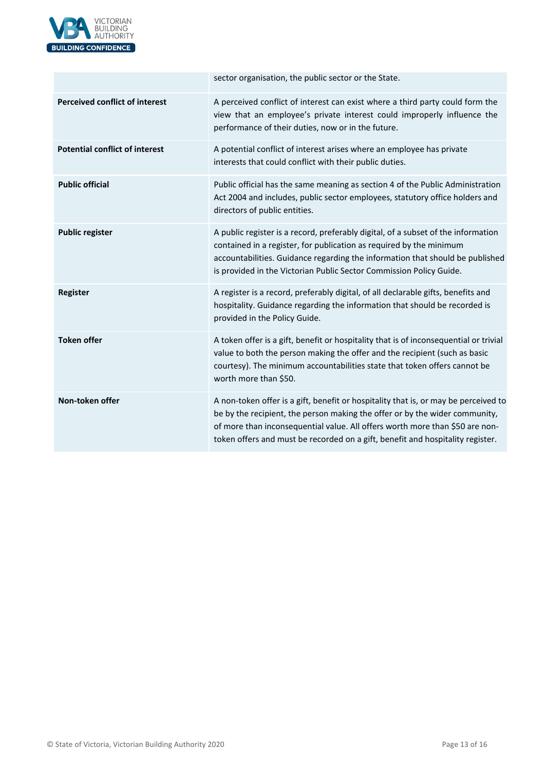

|                                       | sector organisation, the public sector or the State.                                                                                                                                                                                                                                                                                 |  |
|---------------------------------------|--------------------------------------------------------------------------------------------------------------------------------------------------------------------------------------------------------------------------------------------------------------------------------------------------------------------------------------|--|
| <b>Perceived conflict of interest</b> | A perceived conflict of interest can exist where a third party could form the<br>view that an employee's private interest could improperly influence the<br>performance of their duties, now or in the future.                                                                                                                       |  |
| <b>Potential conflict of interest</b> | A potential conflict of interest arises where an employee has private<br>interests that could conflict with their public duties.                                                                                                                                                                                                     |  |
| <b>Public official</b>                | Public official has the same meaning as section 4 of the Public Administration<br>Act 2004 and includes, public sector employees, statutory office holders and<br>directors of public entities.                                                                                                                                      |  |
| <b>Public register</b>                | A public register is a record, preferably digital, of a subset of the information<br>contained in a register, for publication as required by the minimum<br>accountabilities. Guidance regarding the information that should be published<br>is provided in the Victorian Public Sector Commission Policy Guide.                     |  |
| <b>Register</b>                       | A register is a record, preferably digital, of all declarable gifts, benefits and<br>hospitality. Guidance regarding the information that should be recorded is<br>provided in the Policy Guide.                                                                                                                                     |  |
| <b>Token offer</b>                    | A token offer is a gift, benefit or hospitality that is of inconsequential or trivial<br>value to both the person making the offer and the recipient (such as basic<br>courtesy). The minimum accountabilities state that token offers cannot be<br>worth more than \$50.                                                            |  |
| Non-token offer                       | A non-token offer is a gift, benefit or hospitality that is, or may be perceived to<br>be by the recipient, the person making the offer or by the wider community,<br>of more than inconsequential value. All offers worth more than \$50 are non-<br>token offers and must be recorded on a gift, benefit and hospitality register. |  |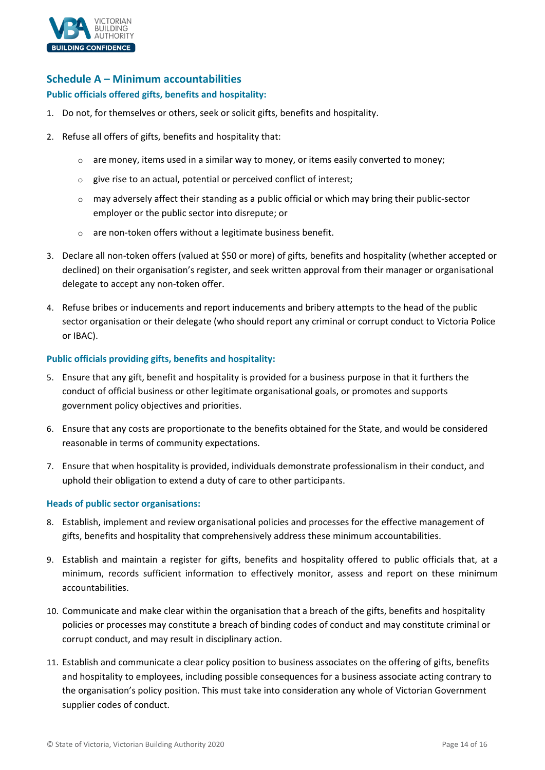

# <span id="page-13-0"></span>**Schedule A – Minimum accountabilities**

#### **Public officials offered gifts, benefits and hospitality:**

- 1. Do not, for themselves or others, seek or solicit gifts, benefits and hospitality.
- 2. Refuse all offers of gifts, benefits and hospitality that:
	- $\circ$  are money, items used in a similar way to money, or items easily converted to money;
	- $\circ$  give rise to an actual, potential or perceived conflict of interest;
	- $\circ$  may adversely affect their standing as a public official or which may bring their public-sector employer or the public sector into disrepute; or
	- are non-token offers without a legitimate business benefit.
- 3. Declare all non‐token offers (valued at \$50 or more) of gifts, benefits and hospitality (whether accepted or declined) on their organisation's register, and seek written approval from their manager or organisational delegate to accept any non-token offer.
- 4. Refuse bribes or inducements and report inducements and bribery attempts to the head of the public sector organisation or their delegate (who should report any criminal or corrupt conduct to Victoria Police or IBAC).

#### **Public officials providing gifts, benefits and hospitality:**

- 5. Ensure that any gift, benefit and hospitality is provided for a business purpose in that it furthers the conduct of official business or other legitimate organisational goals, or promotes and supports government policy objectives and priorities.
- 6. Ensure that any costs are proportionate to the benefits obtained for the State, and would be considered reasonable in terms of community expectations.
- 7. Ensure that when hospitality is provided, individuals demonstrate professionalism in their conduct, and uphold their obligation to extend a duty of care to other participants.

# **Heads of public sector organisations:**

- 8. Establish, implement and review organisational policies and processes for the effective management of gifts, benefits and hospitality that comprehensively address these minimum accountabilities.
- 9. Establish and maintain a register for gifts, benefits and hospitality offered to public officials that, at a minimum, records sufficient information to effectively monitor, assess and report on these minimum accountabilities.
- 10. Communicate and make clear within the organisation that a breach of the gifts, benefits and hospitality policies or processes may constitute a breach of binding codes of conduct and may constitute criminal or corrupt conduct, and may result in disciplinary action.
- 11. Establish and communicate a clear policy position to business associates on the offering of gifts, benefits and hospitality to employees, including possible consequences for a business associate acting contrary to the organisation's policy position. This must take into consideration any whole of Victorian Government supplier codes of conduct.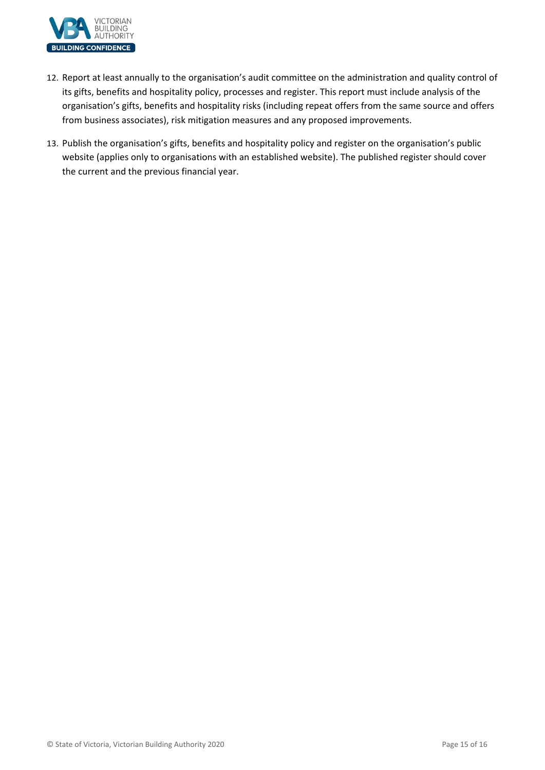

- 12. Report at least annually to the organisation's audit committee on the administration and quality control of its gifts, benefits and hospitality policy, processes and register. This report must include analysis of the organisation's gifts, benefits and hospitality risks (including repeat offers from the same source and offers from business associates), risk mitigation measures and any proposed improvements.
- 13. Publish the organisation's gifts, benefits and hospitality policy and register on the organisation's public website (applies only to organisations with an established website). The published register should cover the current and the previous financial year.